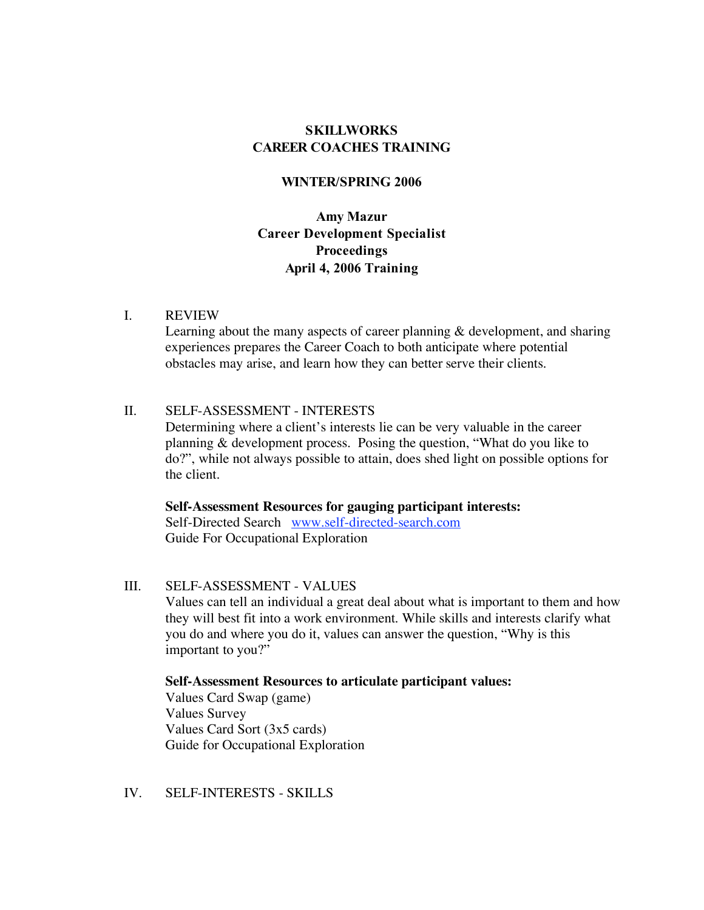# **SKILLWORKS CAREER COACHES TRAINING**

## **WINTER/SPRING 2006**

**Amy Mazur Career Development Specialist Proceedings April 4, 2006 Training**

#### I. REVIEW

Learning about the many aspects of career planning & development, and sharing experiences prepares the Career Coach to both anticipate where potential obstacles may arise, and learn how they can better serve their clients.

## II. SELF-ASSESSMENT - INTERESTS

Determining where a client's interests lie can be very valuable in the career planning & development process. Posing the question, "What do you like to do?", while not always possible to attain, does shed light on possible options for the client.

**Self-Assessment Resources for gauging participant interests:** Self-Directed Search www.self-directed-search.com Guide For Occupational Exploration

III. SELF-ASSESSMENT - VALUES Values can tell an individual a great deal about what is important to them and how they will best fit into a work environment. While skills and interests clarify what you do and where you do it, values can answer the question, "Why is this important to you?"

### **Self-Assessment Resources to articulate participant values:**

Values Card Swap (game) Values Survey Values Card Sort (3x5 cards) Guide for Occupational Exploration

IV. SELF-INTERESTS - SKILLS